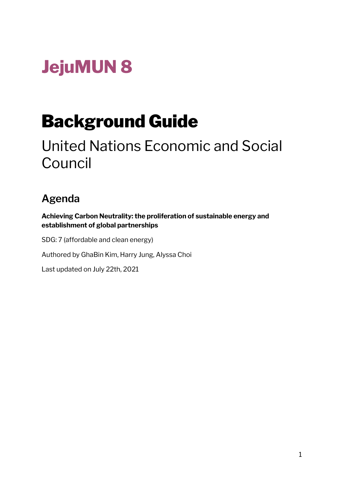# **JejuMUN 8**

# Background Guide

# United Nations Economic and Social Council

# **Agenda**

**Achieving Carbon Neutrality: the proliferation of sustainable energy and establishment of global partnerships**

SDG: 7 (affordable and clean energy)

Authored by GhaBin Kim, Harry Jung, Alyssa Choi

Last updated on July 22th, 2021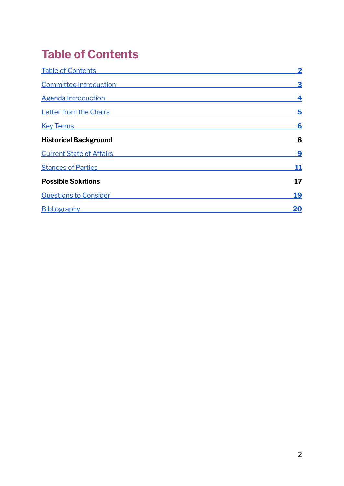# <span id="page-1-0"></span>**Table of Contents**

| <b>Table of Contents</b>        | $\overline{\mathbf{2}}$ |
|---------------------------------|-------------------------|
| Committee Introduction          | 3                       |
| <b>Agenda Introduction</b>      | 4                       |
| <b>Letter from the Chairs</b>   | 5                       |
| <b>Key Terms</b>                | 6                       |
| <b>Historical Background</b>    | 8                       |
| <b>Current State of Affairs</b> | 9                       |
| <b>Stances of Parties</b>       | <u> 11</u>              |
| <b>Possible Solutions</b>       | 17                      |
| <b>Questions to Consider</b>    | <u>19</u>               |
| Bibliography                    | 20                      |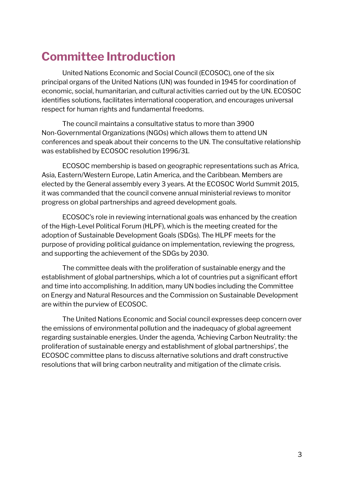# <span id="page-2-0"></span>**Committee Introduction**

United Nations Economic and Social Council (ECOSOC), one of the six principal organs of the United Nations (UN) was founded in 1945 for coordination of economic, social, humanitarian, and cultural activities carried out by the UN. ECOSOC identifies solutions, facilitates international cooperation, and encourages universal respect for human rights and fundamental freedoms.

The council maintains a consultative status to more than 3900 Non-Governmental Organizations (NGOs) which allows them to attend UN conferences and speak about their concerns to the UN. The consultative relationship was established by ECOSOC resolution 1996/31.

ECOSOC membership is based on geographic representations such as Africa, Asia, Eastern/Western Europe, Latin America, and the Caribbean. Members are elected by the General assembly every 3 years. At the ECOSOC World Summit 2015, it was commanded that the council convene annual ministerial reviews to monitor progress on global partnerships and agreed development goals.

ECOSOC's role in reviewing international goals was enhanced by the creation of the High-Level Political Forum (HLPF), which is the meeting created for the adoption of Sustainable Development Goals (SDGs). The HLPF meets for the purpose of providing political guidance on implementation, reviewing the progress, and supporting the achievement of the SDGs by 2030.

The committee deals with the proliferation of sustainable energy and the establishment of global partnerships, which a lot of countries put a significant effort and time into accomplishing. In addition, many UN bodies including the Committee on Energy and Natural Resources and the Commission on Sustainable Development are within the purview of ECOSOC.

The United Nations Economic and Social council expresses deep concern over the emissions of environmental pollution and the inadequacy of global agreement regarding sustainable energies. Under the agenda, 'Achieving Carbon Neutrality: the proliferation of sustainable energy and establishment of global partnerships', the ECOSOC committee plans to discuss alternative solutions and draft constructive resolutions that will bring carbon neutrality and mitigation of the climate crisis.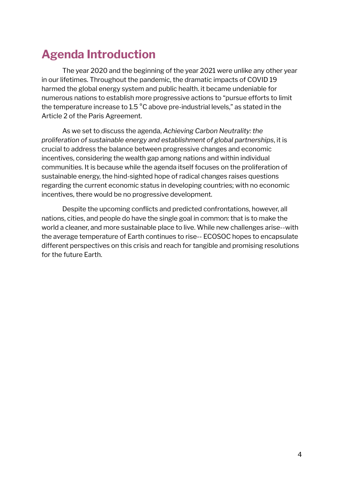# <span id="page-3-0"></span>**Agenda Introduction**

The year 2020 and the beginning of the year 2021 were unlike any other year in our lifetimes. Throughout the pandemic, the dramatic impacts of COVID 19 harmed the global energy system and public health. it became undeniable for numerous nations to establish more progressive actions to "pursue efforts to limit the temperature increase to 1.5 °C above pre-industrial levels," as stated in the Article 2 of the Paris Agreement.

As we set to discuss the agenda, *Achieving Carbon Neutrality: the proliferation of sustainable energy and establishment of global partnerships*, it is crucial to address the balance between progressive changes and economic incentives, considering the wealth gap among nations and within individual communities. It is because while the agenda itself focuses on the proliferation of sustainable energy, the hind-sighted hope of radical changes raises questions regarding the current economic status in developing countries; with no economic incentives, there would be no progressive development.

Despite the upcoming conflicts and predicted confrontations, however, all nations, cities, and people do have the single goal in common: that is to make the world a cleaner, and more sustainable place to live. While new challenges arise--with the average temperature of Earth continues to rise-- ECOSOC hopes to encapsulate different perspectives on this crisis and reach for tangible and promising resolutions for the future Earth.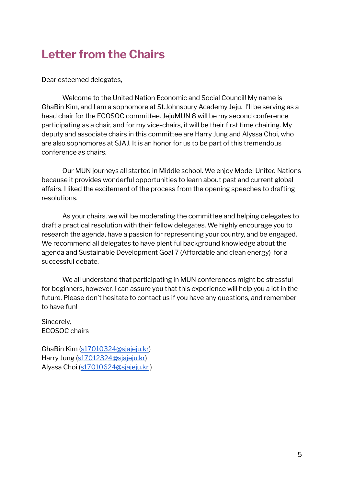# <span id="page-4-0"></span>**Letter from the Chairs**

Dear esteemed delegates,

Welcome to the United Nation Economic and Social Council! My name is GhaBin Kim, and I am a sophomore at St.Johnsbury Academy Jeju. I'll be serving as a head chair for the ECOSOC committee. JejuMUN 8 will be my second conference participating as a chair, and for my vice-chairs, it will be their first time chairing. My deputy and associate chairs in this committee are Harry Jung and Alyssa Choi, who are also sophomores at SJAJ. It is an honor for us to be part of this tremendous conference as chairs.

Our MUN journeys all started in Middle school. We enjoy Model United Nations because it provides wonderful opportunities to learn about past and current global affairs. I liked the excitement of the process from the opening speeches to drafting resolutions.

As your chairs, we will be moderating the committee and helping delegates to draft a practical resolution with their fellow delegates. We highly encourage you to research the agenda, have a passion for representing your country, and be engaged. We recommend all delegates to have plentiful background knowledge about the agenda and Sustainable Development Goal 7 (Affordable and clean energy) for a successful debate.

We all understand that participating in MUN conferences might be stressful for beginners, however, I can assure you that this experience will help you a lot in the future. Please don't hesitate to contact us if you have any questions, and remember to have fun!

Sincerely, ECOSOC chairs

GhaBin Kim [\(s17010324@sjajeju.kr](mailto:s17010324@sjajeju.kr)) Harry Jung ([s17012324@sjajeju.kr\)](mailto:s17012324@sjajeju.kr) Alyssa Choi ([s17010624@sjajeju.kr](mailto:s17010624@sjajeju.kr) )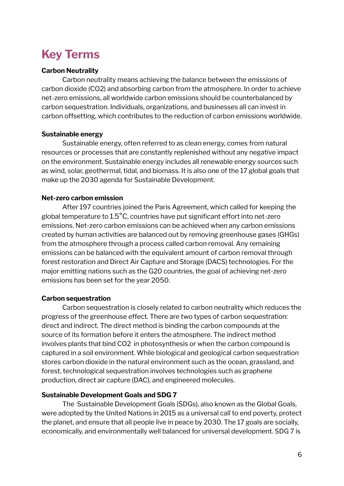# <span id="page-5-0"></span>**Key Terms**

#### **Carbon Neutrality**

Carbon neutrality means achieving the balance between the emissions of carbon dioxide (CO2) and absorbing carbon from the atmosphere. In order to achieve net-zero emissions, all worldwide carbon emissions should be counterbalanced by carbon sequestration. Individuals, organizations, and businesses all can invest in carbon offsetting, which contributes to the reduction of carbon emissions worldwide.

#### **Sustainable energy**

Sustainable energy, often referred to as clean energy, comes from natural resources or processes that are constantly replenished without any negative impact on the environment. Sustainable energy includes all renewable energy sources such as wind, solar, geothermal, tidal, and biomass. It is also one of the 17 global goals that make up the 2030 agenda for Sustainable Development.

# **Net-zero carbon emission**

After 197 countries joined the Paris Agreement, which called for keeping the global temperature to 1.5°C, countries have put significant effort into net-zero emissions. Net-zero carbon emissions can be achieved when any carbon emissions created by human activities are balanced out by removing greenhouse gases (GHGs) from the atmosphere through a process called carbon removal. Any remaining emissions can be balanced with the equivalent amount of carbon removal through forest restoration and Direct Air Capture and Storage (DACS) technologies. For the major emitting nations such as the G20 countries, the goal of achieving net-zero emissions has been set for the year 2050.

# **Carbon sequestration**

Carbon sequestration is closely related to carbon neutrality which reduces the progress of the greenhouse effect. There are two types of carbon sequestration: direct and indirect. The direct method is binding the carbon compounds at the source of its formation before it enters the atmosphere. The indirect method involves plants that bind CO2 in photosynthesis or when the carbon compound is captured in a soil environment. While biological and geological carbon sequestration stores carbon dioxide in the natural environment such as the ocean, grassland, and forest, technological sequestration involves technologies such as graphene production, direct air capture (DAC), and engineered molecules.

# **Sustainable Development Goals and SDG 7**

The Sustainable Development Goals (SDGs), also known as the Global Goals, were adopted by the United Nations in 2015 as a universal call to end poverty, protect the planet, and ensure that all people live in peace by 2030. The 17 goals are socially, economically, and environmentally well balanced for universal development. SDG 7 is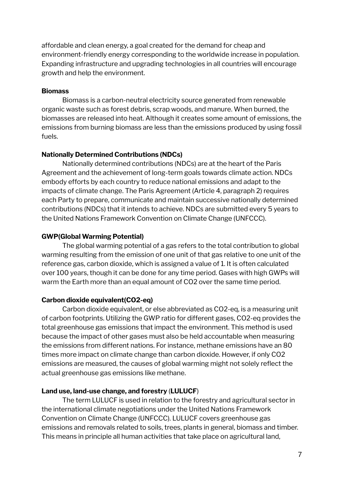affordable and clean energy, a goal created for the demand for cheap and environment-friendly energy corresponding to the worldwide increase in population. Expanding infrastructure and upgrading technologies in all countries will encourage growth and help the environment.

#### **Biomass**

Biomass is a carbon-neutral electricity source generated from renewable organic waste such as forest debris, scrap woods, and manure. When burned, the biomasses are released into heat. Although it creates some amount of emissions, the emissions from burning biomass are less than the emissions produced by using fossil fuels.

#### **Nationally Determined Contributions (NDCs)**

Nationally determined contributions (NDCs) are at the heart of the Paris Agreement and the achievement of long-term goals towards climate action. NDCs embody efforts by each country to reduce national emissions and adapt to the impacts of climate change. The Paris Agreement (Article 4, paragraph 2) requires each Party to prepare, communicate and maintain successive nationally determined contributions (NDCs) that it intends to achieve. NDCs are submitted every 5 years to the United Nations Framework Convention on Climate Change (UNFCCC).

# **GWP(Global Warming Potential)**

The global warming potential of a gas refers to the total contribution to global warming resulting from the emission of one unit of that gas relative to one unit of the reference gas, carbon [dioxide,](https://www.greenfacts.org/glossary/abc/carbon-dioxide.htm) which is assigned a value of 1. It is often calculated over 100 years, though it can be done for any time period. Gases with high GWPs will warm the Earth more than an equal amount of CO2 over the same time period.

# **Carbon dioxide equivalent(CO2-eq)**

Carbon dioxide equivalent, or else abbreviated as CO2-eq, is a measuring unit of carbon footprints. Utilizing the GWP ratio for different gases, CO2-eq provides the total greenhouse gas emissions that impact the environment. This method is used because the impact of other gases must also be held accountable when measuring the emissions from different nations. For instance, methane emissions have an 80 times more impact on climate change than carbon dioxide. However, if only CO2 emissions are measured, the causes of global warming might not solely reflect the actual greenhouse gas emissions like methane.

# **Land use, land-use change, and forestry** (**LULUCF**)

The term LULUCF is used in relation to the forestry and agricultural sector in the international climate negotiations under the United Nations Framework Convention on Climate Change (UNFCCC). LULUCF covers greenhouse gas emissions and removals related to soils, trees, plants in general, biomass and timber. This means in principle all human activities that take place on agricultural land,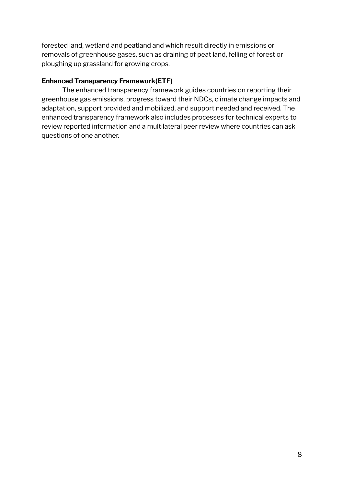forested land, wetland and peatland and which result directly in emissions or removals of greenhouse gases, such as draining of peat land, felling of forest or ploughing up grassland for growing crops.

# **Enhanced Transparency Framework(ETF)**

<span id="page-7-0"></span>The enhanced transparency framework guides countries on reporting their greenhouse gas emissions, progress toward their NDCs, climate change impacts and adaptation, support provided and mobilized, and support needed and received. The enhanced transparency framework also includes processes for technical experts to review reported information and a multilateral peer review where countries can ask questions of one another.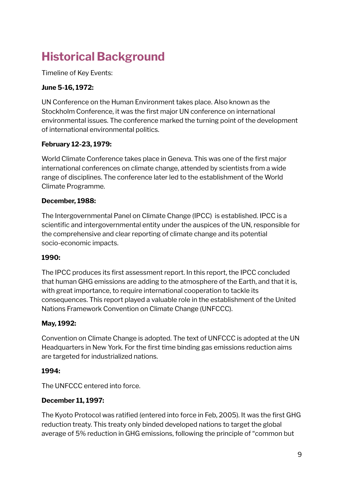# **Historical Background**

Timeline of Key Events:

# **June 5-16, 1972:**

UN Conference on the Human Environment takes place. Also known as the Stockholm Conference, it was the first major UN conference on international environmental issues. The conference marked the turning point of the development of international environmental politics.

# **February 12-23, 1979:**

World Climate Conference takes place in Geneva. This was one of the first major international conferences on climate change, attended by scientists from a wide range of disciplines. The conference later led to the establishment of the World Climate Programme.

# **December, 1988:**

The Intergovernmental Panel on Climate Change (IPCC) is established. IPCC is a scientific and intergovernmental entity under the auspices of the UN, responsible for the comprehensive and clear reporting of climate change and its potential socio-economic impacts.

# **1990:**

The IPCC produces its first assessment report. In this report, the IPCC concluded that human GHG emissions are adding to the atmosphere of the Earth, and that it is, with great importance, to require international cooperation to tackle its consequences. This report played a valuable role in the establishment of the United Nations Framework Convention on Climate Change (UNFCCC).

# **May, 1992:**

Convention on Climate Change is adopted. The text of UNFCCC is adopted at the UN Headquarters in New York. For the first time binding gas emissions reduction aims are targeted for industrialized nations.

# **1994:**

The UNFCCC entered into force.

# **December 11, 1997:**

The Kyoto Protocol was ratified (entered into force in Feb, 2005). It was the first GHG reduction treaty. This treaty only binded developed nations to target the global average of 5% reduction in GHG emissions, following the principle of "common but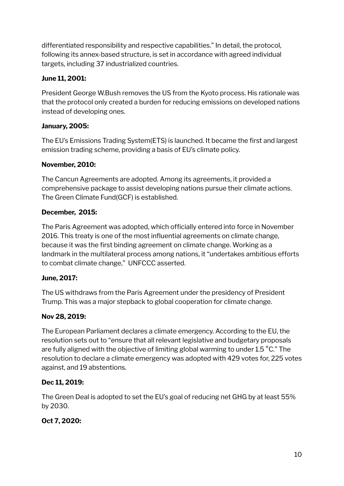differentiated responsibility and respective capabilities." In detail, the protocol, following its annex-based structure, is set in accordance with agreed individual targets, including 37 industrialized countries.

# **June 11, 2001:**

President George W.Bush removes the US from the Kyoto process. His rationale was that the protocol only created a burden for reducing emissions on developed nations instead of developing ones.

# **January, 2005:**

The EU's Emissions Trading System(ETS) is launched. It became the first and largest emission trading scheme, providing a basis of EU's climate policy.

# **November, 2010:**

The Cancun Agreements are adopted. Among its agreements, it provided a comprehensive package to assist developing nations pursue their climate actions. The Green Climate Fund(GCF) is established.

# **December, 2015:**

The Paris Agreement was adopted, which officially entered into force in November 2016. This treaty is one of the most influential agreements on climate change, because it was the first binding agreement on climate change. Working as a landmark in the multilateral process among nations, it "undertakes ambitious efforts to combat climate change," UNFCCC asserted.

# **June, 2017:**

The US withdraws from the Paris Agreement under the presidency of President Trump. This was a major stepback to global cooperation for climate change.

# **Nov 28, 2019:**

The European Parliament declares a climate emergency. According to the EU, the resolution sets out to "ensure that all relevant legislative and budgetary proposals are fully aligned with the objective of limiting global warming to under 1.5 °C." The resolution to declare a climate emergency was adopted with 429 votes for, 225 votes against, and 19 abstentions.

# **Dec 11, 2019:**

The Green Deal is adopted to set the EU's goal of reducing net GHG by at least 55% by 2030.

# **Oct 7, 2020:**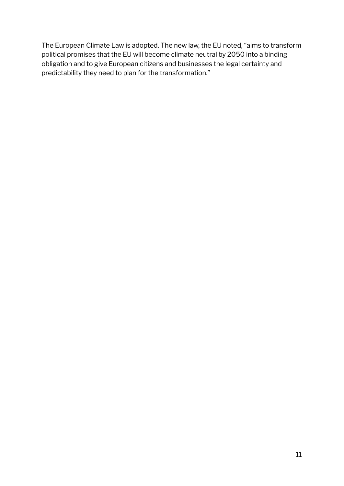<span id="page-10-0"></span>The European Climate Law is adopted. The new law, the EU noted, "aims to transform political promises that the EU will become climate neutral by 2050 into a binding obligation and to give European citizens and businesses the legal certainty and predictability they need to plan for the transformation."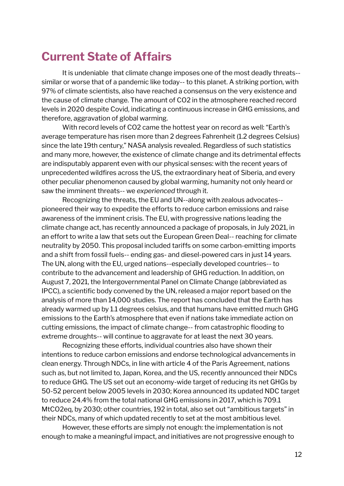# **Current State of Affairs**

It is undeniable that climate change imposes one of the most deadly threats- similar or worse that of a pandemic like today-- to this planet. A striking portion, with 97% of climate scientists, also have reached a consensus on the very existence and the cause of climate change. The amount of CO2 in the atmosphere reached record levels in 2020 despite Covid, indicating a continuous increase in GHG emissions, and therefore, aggravation of global warming.

With record levels of CO2 came the hottest year on record as well: "Earth's average temperature has risen more than 2 degrees Fahrenheit (1.2 degrees Celsius) since the late 19th century," NASA analysis revealed. Regardless of such statistics and many more, however, the existence of climate change and its detrimental effects are indisputably apparent even with our physical senses: with the recent years of unprecedented wildfires across the US, the extraordinary heat of Siberia, and every other peculiar phenomenon caused by global warming, humanity not only heard or saw the imminent threats-- we *experienced* through it.

Recognizing the threats, the EU and UN--along with zealous advocates- pioneered their way to expedite the efforts to reduce carbon emissions and raise awareness of the imminent crisis. The EU, with progressive nations leading the climate change act, has recently announced a package of proposals, in July 2021, in an effort to write a law that sets out the European Green Deal-- reaching for climate neutrality by 2050. This proposal included tariffs on some carbon-emitting imports and a shift from fossil fuels-- ending gas- and diesel-powered cars in just 14 years. The UN, along with the EU, urged nations--especially developed countries-- to contribute to the advancement and leadership of GHG reduction. In addition, on August 7, 2021, the Intergovernmental Panel on Climate Change (abbreviated as IPCC), a scientific body convened by the UN, released a major report based on the analysis of more than 14,000 studies. The report has concluded that the Earth has already warmed up by 1.1 degrees celsius, and that humans have emitted much GHG emissions to the Earth's atmosphere that even if nations take immediate action on cutting emissions, the impact of climate change-- from catastrophic flooding to extreme droughts-- will continue to aggravate for at least the next 30 years.

Recognizing these efforts, individual countries also have shown their intentions to reduce carbon emissions and endorse technological advancements in clean energy. Through NDCs, in line with article 4 of the Paris Agreement, nations such as, but not limited to, Japan, Korea, and the US, recently announced their NDCs to reduce GHG. The US set out an economy-wide target of reducing its net GHGs by 50-52 percent below 2005 levels in 2030; Korea announced its updated NDC target to reduce 24.4% from the total national GHG emissions in 2017, which is 709.1 MtCO2eq, by 2030; other countries, 192 in total, also set out "ambitious targets" in their NDCs, many of which updated recently to set at the most ambitious level.

However, these efforts are simply not enough: the implementation is not enough to make a meaningful impact, and initiatives are not progressive enough to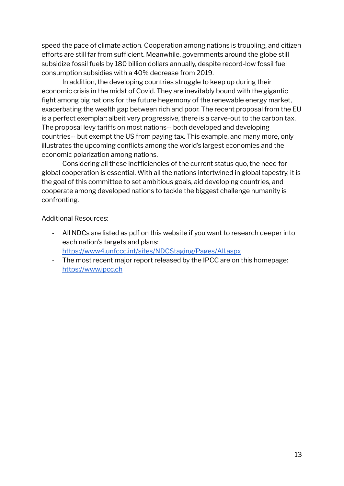speed the pace of climate action. Cooperation among nations is troubling, and citizen efforts are still far from sufficient. Meanwhile, governments around the globe still subsidize fossil fuels by 180 billion dollars annually, despite record-low fossil fuel consumption subsidies with a 40% decrease from 2019.

In addition, the developing countries struggle to keep up during their economic crisis in the midst of Covid. They are inevitably bound with the gigantic fight among big nations for the future hegemony of the renewable energy market, exacerbating the wealth gap between rich and poor. The recent proposal from the EU is a perfect exemplar: albeit very progressive, there is a carve-out to the carbon tax. The proposal levy tariffs on most nations-- both developed and developing countries-- but exempt the US from paying tax. This example, and many more, only illustrates the upcoming conflicts among the world's largest economies and the economic polarization among nations.

Considering all these inefficiencies of the current status quo, the need for global cooperation is essential. With all the nations intertwined in global tapestry, it is the goal of this committee to set ambitious goals, aid developing countries, and cooperate among developed nations to tackle the biggest challenge humanity is confronting.

Additional Resources:

- All NDCs are listed as pdf on this website if you want to research deeper into each nation's targets and plans: <https://www4.unfccc.int/sites/NDCStaging/Pages/All.aspx>
- <span id="page-12-0"></span>- The most recent major report released by the IPCC are on this homepage: <https://www.ipcc.ch>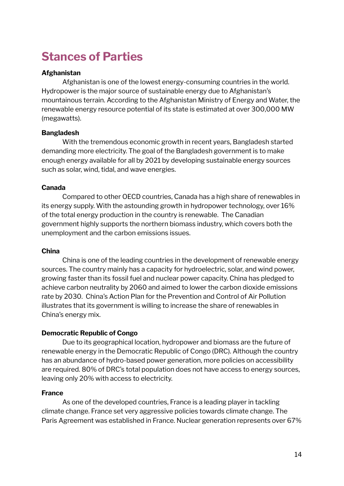# **Stances of Parties**

#### **Afghanistan**

Afghanistan is one of the lowest energy-consuming countries in the world. Hydropower is the major source of sustainable energy due to Afghanistan's mountainous terrain. According to the Afghanistan Ministry of Energy and Water, the renewable energy resource potential of its state is estimated at over 300,000 MW (megawatts).

#### **Bangladesh**

With the tremendous economic growth in recent years, Bangladesh started demanding more electricity. The goal of the Bangladesh government is to make enough energy available for all by 2021 by developing sustainable energy sources such as solar, wind, tidal, and wave energies.

#### **Canada**

Compared to other OECD countries, Canada has a high share of renewables in its energy supply. With the astounding growth in hydropower technology, over 16% of the total energy production in the country is renewable. The Canadian government highly supports the northern biomass industry, which covers both the unemployment and the carbon emissions issues.

#### **China**

China is one of the leading countries in the development of renewable energy sources. The country mainly has a capacity for hydroelectric, solar, and wind power, growing faster than its fossil fuel and nuclear power capacity. China has pledged to achieve carbon neutrality by 2060 and aimed to lower the carbon dioxide emissions rate by 2030. China's Action Plan for the Prevention and Control of Air Pollution illustrates that its government is willing to increase the share of renewables in China's energy mix.

# **Democratic Republic of Congo**

Due to its geographical location, hydropower and biomass are the future of renewable energy in the Democratic Republic of Congo (DRC). Although the country has an abundance of hydro-based power generation, more policies on accessibility are required. 80% of DRC's total population does not have access to energy sources, leaving only 20% with access to electricity.

#### **France**

As one of the developed countries, France is a leading player in tackling climate change. France set very aggressive policies towards climate change. The Paris Agreement was established in France. Nuclear generation represents over 67%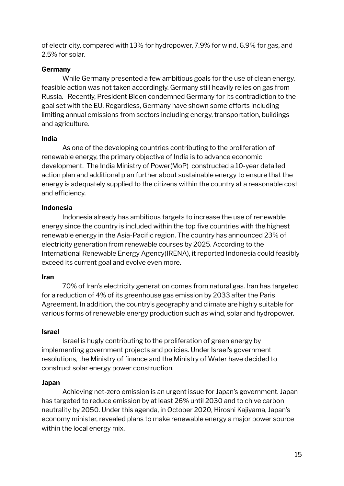of electricity, compared with 13% for hydropower, 7.9% for wind, 6.9% for gas, and 2.5% for solar.

# **Germany**

While Germany presented a few ambitious goals for the use of clean energy, feasible action was not taken accordingly. Germany still heavily relies on gas from Russia. Recently, President Biden condemned Germany for its contradiction to the goal set with the EU. Regardless, Germany have shown some efforts including limiting annual emissions from sectors including energy, transportation, buildings and agriculture.

# **India**

As one of the developing countries contributing to the proliferation of renewable energy, the primary objective of India is to advance economic development. The India Ministry of Power(MoP) constructed a 10-year detailed action plan and additional plan further about sustainable energy to ensure that the energy is adequately supplied to the citizens within the country at a reasonable cost and efficiency.

# **Indonesia**

Indonesia already has ambitious targets to increase the use of renewable energy since the country is included within the top five countries with the highest renewable energy in the Asia-Pacific region. The country has announced 23% of electricity generation from renewable courses by 2025. According to the International Renewable Energy Agency(IRENA), it reported Indonesia could feasibly exceed its current goal and evolve even more.

# **Iran**

70% of Iran's electricity generation comes from natural gas. Iran has targeted for a reduction of 4% of its greenhouse gas emission by 2033 after the Paris Agreement. In addition, the country's geography and climate are highly suitable for various forms of renewable energy production such as wind, solar and hydropower.

# **Israel**

Israel is hugly contributing to the proliferation of green energy by implementing government projects and policies. Under Israel's government resolutions, the Ministry of finance and the Ministry of Water have decided to construct solar energy power construction.

# **Japan**

Achieving net-zero emission is an urgent issue for Japan's government. Japan has targeted to reduce emission by at least 26% until 2030 and to chive carbon neutrality by 2050. Under this agenda, in October 2020, Hiroshi Kajiyama, Japan's economy minister, revealed plans to make renewable energy a major power source within the local energy mix.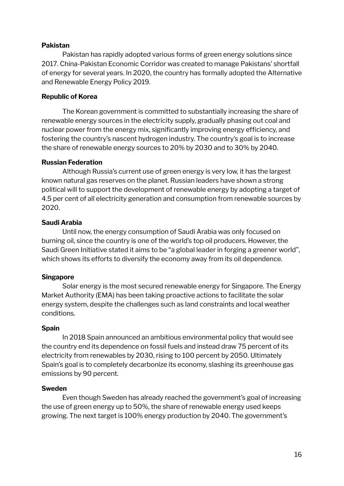#### **Pakistan**

Pakistan has rapidly adopted various forms of green energy solutions since 2017. China-Pakistan Economic Corridor was created to manage Pakistans' shortfall of energy for several years. In 2020, the country has formally adopted the Alternative and Renewable Energy Policy 2019.

#### **Republic of Korea**

The Korean government is committed to substantially increasing the share of renewable energy sources in the electricity supply, gradually phasing out coal and nuclear power from the energy mix, significantly improving energy efficiency, and fostering the country's nascent hydrogen industry. The country's goal is to increase the share of renewable energy sources to 20% by 2030 and to 30% by 2040.

#### **Russian Federation**

Although Russia's current use of green energy is very low, it has the largest known natural gas reserves on the planet. Russian leaders have shown a strong political will to support the development of renewable energy by adopting a target of 4.5 per cent of all electricity generation and consumption from renewable sources by 2020.

#### **Saudi Arabia**

Until now, the energy consumption of Saudi Arabia was only focused on burning oil, since the country is one of the world's top oil producers. However, the Saudi Green Initiative stated it aims to be "a global leader in forging a greener world", which shows its efforts to diversify the economy away from its oil dependence.

#### **Singapore**

Solar energy is the most secured renewable energy for Singapore. The Energy Market Authority (EMA) has been taking proactive actions to facilitate the solar energy system, despite the challenges such as land constraints and local weather conditions.

#### **Spain**

In 2018 Spain announced an ambitious environmental policy that would see the country end its dependence on fossil fuels and instead draw 75 percent of its electricity from renewables by 2030, rising to 100 percent by 2050. Ultimately Spain's goal is to completely decarbonize its economy, slashing its greenhouse gas emissions by 90 percent.

#### **Sweden**

Even though Sweden has already reached the government's goal of increasing the use of green energy up to 50%, the share of renewable energy used keeps growing. The next target is 100% energy production by 2040. The government's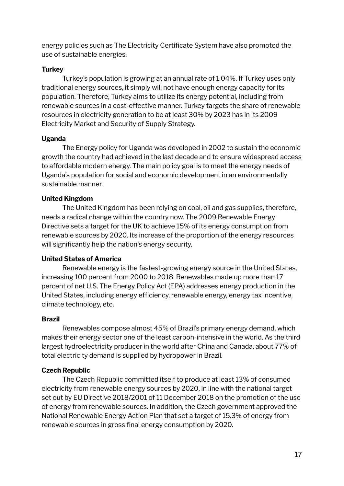energy policies such as The Electricity Certificate System have also promoted the use of sustainable energies.

# **Turkey**

Turkey's population is growing at an annual rate of 1.04%. If Turkey uses only traditional energy sources, it simply will not have enough energy capacity for its population. Therefore, Turkey aims to utilize its energy potential, including from renewable sources in a cost-effective manner. Turkey targets the share of renewable resources in electricity generation to be at least 30% by 2023 has in its 2009 Electricity Market and Security of Supply Strategy.

# **Uganda**

The Energy policy for Uganda was developed in 2002 to sustain the economic growth the country had achieved in the last decade and to ensure widespread access to affordable modern energy. The main policy goal is to meet the energy needs of Uganda's population for social and economic development in an environmentally sustainable manner.

# **United Kingdom**

The United Kingdom has been relying on coal, oil and gas supplies, therefore, needs a radical change within the country now. The 2009 Renewable Energy Directive sets a target for the UK to achieve 15% of its energy consumption from renewable sources by 2020. Its increase of the proportion of the energy resources will significantly help the nation's energy security.

# **United States of America**

Renewable energy is the fastest-growing energy source in the United States, increasing 100 percent from 2000 to 2018. Renewables made up more than 17 percent of net U.S. The Energy Policy Act (EPA) addresses energy production in the United States, including energy efficiency, renewable energy, energy tax incentive, climate technology, etc.

# **Brazil**

Renewables compose almost 45% of Brazil's primary energy demand, which makes their energy sector one of the least carbon-intensive in the world. As the third largest hydroelectricity producer in the world after China and Canada, about 77% of total electricity demand is supplied by hydropower in Brazil.

# **Czech Republic**

The Czech Republic committed itself to produce at least 13% of consumed electricity from renewable energy sources by 2020, in line with the national target set out by EU Directive 2018/2001 of 11 December 2018 on the promotion of the use of energy from renewable sources. In addition, the Czech government approved the National Renewable Energy Action Plan that set a target of 15.3% of energy from renewable sources in gross final energy consumption by 2020.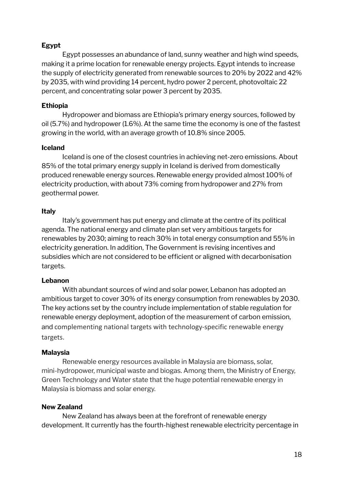# **Egypt**

Egypt possesses an abundance of land, sunny weather and high wind speeds, making it a prime location for renewable energy projects. Egypt intends to increase the supply of electricity generated from renewable sources to 20% by 2022 and 42% by 2035, with wind providing 14 percent, hydro power 2 percent, photovoltaic 22 percent, and concentrating solar power 3 percent by 2035.

# **Ethiopia**

Hydropower and biomass are Ethiopia's primary energy sources, followed by oil (5.7%) and hydropower (1.6%). At the same time the economy is one of the fastest growing in the world, with an average growth of 10.8% since 2005.

#### **Iceland**

Iceland is one of the closest countries in achieving net-zero emissions. About 85% of the total primary energy supply in Iceland is derived from domestically produced renewable energy sources. Renewable energy provided almost 100% of electricity production, with about 73% coming from hydropower and 27% from geothermal power.

#### **Italy**

Italy's government has put energy and climate at the centre of its political agenda. The national energy and climate plan set very ambitious targets for renewables by 2030; aiming to reach 30% in total energy consumption and 55% in electricity generation. In addition, The Government is revising incentives and subsidies which are not considered to be efficient or aligned with decarbonisation targets.

#### **Lebanon**

With abundant sources of wind and solar power, Lebanon has adopted an ambitious target to cover 30% of its energy consumption from renewables by 2030. The key actions set by the country include implementation of stable regulation for renewable energy deployment, adoption of the measurement of carbon emission, and complementing national targets with technology-specific renewable energy targets.

#### **Malaysia**

Renewable energy resources available in Malaysia are biomass, solar, mini-hydropower, municipal waste and biogas. Among them, the Ministry of Energy, Green Technology and Water state that the huge potential renewable energy in Malaysia is biomass and solar energy.

#### **New Zealand**

New Zealand has always been at the forefront of renewable energy development. It currently has the fourth-highest renewable electricity percentage in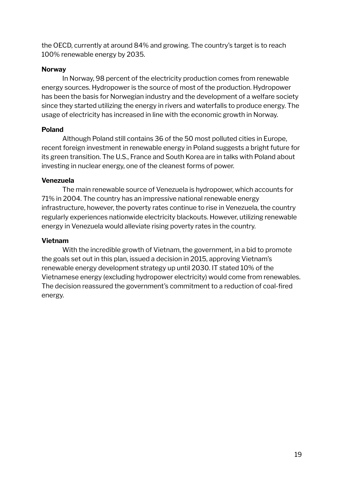the OECD, currently at around 84% and growing. The country's target is to reach 100% renewable energy by 2035.

# **Norway**

In Norway, 98 percent of the electricity production comes from renewable energy sources. Hydropower is the source of most of the production. Hydropower has been the basis for Norwegian industry and the development of a welfare society since they started utilizing the energy in rivers and waterfalls to produce energy. The usage of electricity has increased in line with the economic growth in Norway.

# **Poland**

Although Poland still contains 36 of the 50 most polluted cities in Europe, recent foreign investment in renewable energy in Poland suggests a bright future for its green transition. The U.S., France and South Korea are in talks with Poland about investing in nuclear energy, one of the cleanest forms of power.

# **Venezuela**

The main renewable source of Venezuela is hydropower, which accounts for 71% in 2004. The country has an impressive national renewable energy infrastructure, however, the poverty rates continue to rise in Venezuela, the country regularly experiences nationwide electricity blackouts. However, utilizing renewable energy in Venezuela would alleviate rising poverty rates in the country.

# **Vietnam**

<span id="page-18-0"></span>With the incredible growth of Vietnam, the government, in a bid to promote the goals set out in this plan, issued a decision in 2015, approving Vietnam's renewable energy development strategy up until 2030. IT stated 10% of the Vietnamese energy (excluding hydropower electricity) would come from renewables. The decision reassured the government's commitment to a reduction of coal-fired energy.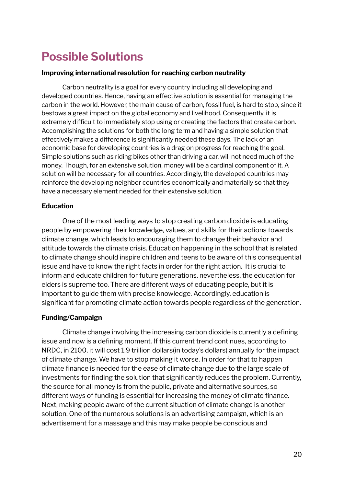# **Possible Solutions**

#### **Improving international resolution for reaching carbon neutrality**

Carbon neutrality is a goal for every country including all developing and developed countries. Hence, having an effective solution is essential for managing the carbon in the world. However, the main cause of carbon, fossil fuel, is hard to stop, since it bestows a great impact on the global economy and livelihood. Consequently, it is extremely difficult to immediately stop using or creating the factors that create carbon. Accomplishing the solutions for both the long term and having a simple solution that effectively makes a difference is significantly needed these days. The lack of an economic base for developing countries is a drag on progress for reaching the goal. Simple solutions such as riding bikes other than driving a car, will not need much of the money. Though, for an extensive solution, money will be a cardinal component of it. A solution will be necessary for all countries. Accordingly, the developed countries may reinforce the developing neighbor countries economically and materially so that they have a necessary element needed for their extensive solution.

# **Education**

One of the most leading ways to stop creating carbon dioxide is educating people by empowering their knowledge, values, and skills for their actions towards climate change, which leads to encouraging them to change their behavior and attitude towards the climate crisis. Education happening in the school that is related to climate change should inspire children and teens to be aware of this consequential issue and have to know the right facts in order for the right action. It is crucial to inform and educate children for future generations, nevertheless, the education for elders is supreme too. There are different ways of educating people, but it is important to guide them with precise knowledge. Accordingly, education is significant for promoting climate action towards people regardless of the generation.

# **Funding/Campaign**

Climate change involving the increasing carbon dioxide is currently a defining issue and now is a defining moment. If this current trend continues, according to NRDC, in 2100, it will cost 1.9 trillion dollars(in today's dollars) annually for the impact of climate change. We have to stop making it worse. In order for that to happen climate finance is needed for the ease of climate change due to the large scale of investments for finding the solution that significantly reduces the problem. Currently, the source for all money is from the public, private and alternative sources, so different ways of funding is essential for increasing the money of climate finance. Next, making people aware of the current situation of climate change is another solution. One of the numerous solutions is an advertising campaign, which is an advertisement for a massage and this may make people be conscious and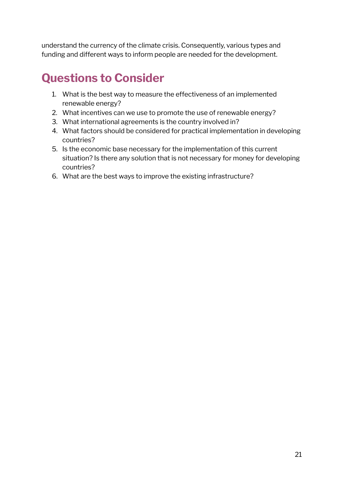understand the currency of the climate crisis. Consequently, various types and funding and different ways to inform people are needed for the development.

# <span id="page-20-0"></span>**Questions to Consider**

- 1. What is the best way to measure the effectiveness of an implemented renewable energy?
- 2. What incentives can we use to promote the use of renewable energy?
- 3. What international agreements is the country involved in?
- 4. What factors should be considered for practical implementation in developing countries?
- 5. Is the economic base necessary for the implementation of this current situation? Is there any solution that is not necessary for money for developing countries?
- <span id="page-20-1"></span>6. What are the best ways to improve the existing infrastructure?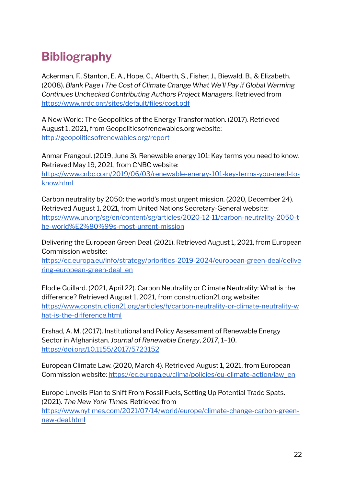# **Bibliography**

Ackerman, F., Stanton, E. A., Hope, C., Alberth, S., Fisher, J., Biewald, B., & Elizabeth. (2008). *Blank Page i The Cost of Climate Change What We'll Pay if Global Warming Continues Unchecked Contributing Authors Project Managers*. Retrieved from <https://www.nrdc.org/sites/default/files/cost.pdf>

A New World: The Geopolitics of the Energy Transformation. (2017). Retrieved August 1, 2021, from Geopoliticsofrenewables.org website: <http://geopoliticsofrenewables.org/report>

Anmar Frangoul. (2019, June 3). Renewable energy 101: Key terms you need to know. Retrieved May 19, 2021, from CNBC website:

[https://www.cnbc.com/2019/06/03/renewable-energy-101-key-terms-you-need-to](https://www.cnbc.com/2019/06/03/renewable-energy-101-key-terms-you-need-to-know.html)[know.html](https://www.cnbc.com/2019/06/03/renewable-energy-101-key-terms-you-need-to-know.html)

Carbon neutrality by 2050: the world's most urgent mission. (2020, December 24). Retrieved August 1, 2021, from United Nations Secretary-General website: [https://www.un.org/sg/en/content/sg/articles/2020-12-11/carbon-neutrality-2050-t](https://www.un.org/sg/en/content/sg/articles/2020-12-11/carbon-neutrality-2050-the-world%E2%80%99s-most-urgent-mission) [he-world%E2%80%99s-most-urgent-mission](https://www.un.org/sg/en/content/sg/articles/2020-12-11/carbon-neutrality-2050-the-world%E2%80%99s-most-urgent-mission)

Delivering the European Green Deal. (2021). Retrieved August 1, 2021, from European Commission website:

[https://ec.europa.eu/info/strategy/priorities-2019-2024/european-green-deal/delive](https://ec.europa.eu/info/strategy/priorities-2019-2024/european-green-deal/delivering-european-green-deal_en) [ring-european-green-deal\\_en](https://ec.europa.eu/info/strategy/priorities-2019-2024/european-green-deal/delivering-european-green-deal_en)

Elodie Guillard. (2021, April 22). Carbon Neutrality or Climate Neutrality: What is the difference? Retrieved August 1, 2021, from construction21.org website: [https://www.construction21.org/articles/h/carbon-neutrality-or-climate-neutrality-w](https://www.construction21.org/articles/h/carbon-neutrality-or-climate-neutrality-what-is-the-difference.html) [hat-is-the-difference.html](https://www.construction21.org/articles/h/carbon-neutrality-or-climate-neutrality-what-is-the-difference.html)

Ershad, A. M. (2017). Institutional and Policy Assessment of Renewable Energy Sector in Afghanistan. *Journal of Renewable Energy*, *2017*, 1–10. <https://doi.org/10.1155/2017/5723152>

European Climate Law. (2020, March 4). Retrieved August 1, 2021, from European Commission website: [https://ec.europa.eu/clima/policies/eu-climate-action/law\\_en](https://ec.europa.eu/clima/policies/eu-climate-action/law_en)

Europe Unveils Plan to Shift From Fossil Fuels, Setting Up Potential Trade Spats. (2021). *The New York Times*. Retrieved from [https://www.nytimes.com/2021/07/14/world/europe/climate-change-carbon-green](https://www.nytimes.com/2021/07/14/world/europe/climate-change-carbon-green-new-deal.html)[new-deal.html](https://www.nytimes.com/2021/07/14/world/europe/climate-change-carbon-green-new-deal.html)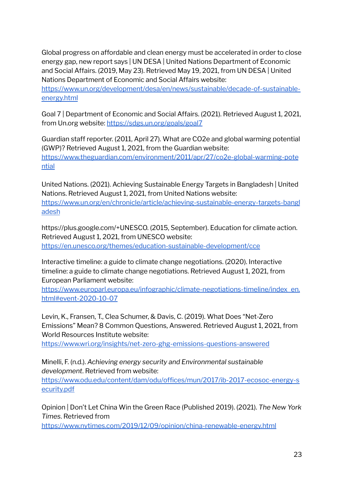Global progress on affordable and clean energy must be accelerated in order to close energy gap, new report says | UN DESA | United Nations Department of Economic and Social Affairs. (2019, May 23). Retrieved May 19, 2021, from UN DESA | United Nations Department of Economic and Social Affairs website:

[https://www.un.org/development/desa/en/news/sustainable/decade-of-sustainable](https://www.un.org/development/desa/en/news/sustainable/decade-of-sustainable-energy.html)[energy.html](https://www.un.org/development/desa/en/news/sustainable/decade-of-sustainable-energy.html)

Goal 7 | Department of Economic and Social Affairs. (2021). Retrieved August 1, 2021, from Un.org website: <https://sdgs.un.org/goals/goal7>

Guardian staff reporter. (2011, April 27). What are CO2e and global warming potential (GWP)? Retrieved August 1, 2021, from the Guardian website: [https://www.theguardian.com/environment/2011/apr/27/co2e-global-warming-pote](https://www.theguardian.com/environment/2011/apr/27/co2e-global-warming-potential) [ntial](https://www.theguardian.com/environment/2011/apr/27/co2e-global-warming-potential)

United Nations. (2021). Achieving Sustainable Energy Targets in Bangladesh | United Nations. Retrieved August 1, 2021, from United Nations website: [https://www.un.org/en/chronicle/article/achieving-sustainable-energy-targets-bangl](https://www.un.org/en/chronicle/article/achieving-sustainable-energy-targets-bangladesh)

[adesh](https://www.un.org/en/chronicle/article/achieving-sustainable-energy-targets-bangladesh)

https://plus.google.com/+UNESCO. (2015, September). Education for climate action. Retrieved August 1, 2021, from UNESCO website: <https://en.unesco.org/themes/education-sustainable-development/cce>

Interactive timeline: a guide to climate change negotiations. (2020). Interactive timeline: a guide to climate change negotiations. Retrieved August 1, 2021, from European Parliament website:

[https://www.europarl.europa.eu/infographic/climate-negotiations-timeline/index\\_en.](https://www.europarl.europa.eu/infographic/climate-negotiations-timeline/index_en.html#event-2020-10-07) [html#event-2020-10-07](https://www.europarl.europa.eu/infographic/climate-negotiations-timeline/index_en.html#event-2020-10-07)

Levin, K., Fransen, T., Clea Schumer, & Davis, C. (2019). What Does "Net-Zero Emissions" Mean? 8 Common Questions, Answered. Retrieved August 1, 2021, from World Resources Institute website:

<https://www.wri.org/insights/net-zero-ghg-emissions-questions-answered>

Minelli, F. (n.d.). *Achieving energy security and Environmental sustainable development*. Retrieved from website:

[https://www.odu.edu/content/dam/odu/offices/mun/2017/ib-2017-ecosoc-energy-s](https://www.odu.edu/content/dam/odu/offices/mun/2017/ib-2017-ecosoc-energy-security.pdf) [ecurity.pdf](https://www.odu.edu/content/dam/odu/offices/mun/2017/ib-2017-ecosoc-energy-security.pdf)

Opinion | Don't Let China Win the Green Race (Published 2019). (2021). *The New York Times*. Retrieved from

<https://www.nytimes.com/2019/12/09/opinion/china-renewable-energy.html>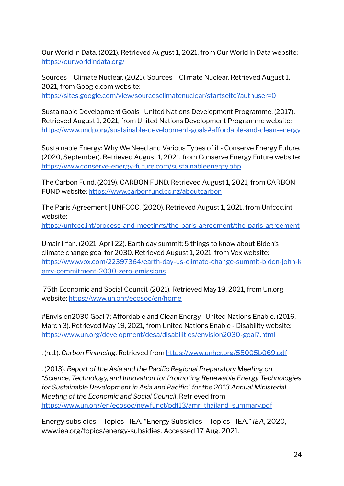Our World in Data. (2021). Retrieved August 1, 2021, from Our World in Data website: <https://ourworldindata.org/>

Sources – Climate Nuclear. (2021). Sources – Climate Nuclear. Retrieved August 1, 2021, from Google.com website: <https://sites.google.com/view/sourcesclimatenuclear/startseite?authuser=0>

Sustainable Development Goals | United Nations Development Programme. (2017). Retrieved August 1, 2021, from United Nations Development Programme website: <https://www.undp.org/sustainable-development-goals#affordable-and-clean-energy>

Sustainable Energy: Why We Need and Various Types of it - Conserve Energy Future. (2020, September). Retrieved August 1, 2021, from Conserve Energy Future website: <https://www.conserve-energy-future.com/sustainableenergy.php>

The Carbon Fund. (2019). CARBON FUND. Retrieved August 1, 2021, from CARBON FUND website: <https://www.carbonfund.co.nz/aboutcarbon>

The Paris Agreement | UNFCCC. (2020). Retrieved August 1, 2021, from Unfccc.int website:

<https://unfccc.int/process-and-meetings/the-paris-agreement/the-paris-agreement>

Umair Irfan. (2021, April 22). Earth day summit: 5 things to know about Biden's climate change goal for 2030. Retrieved August 1, 2021, from Vox website: [https://www.vox.com/22397364/earth-day-us-climate-change-summit-biden-john-k](https://www.vox.com/22397364/earth-day-us-climate-change-summit-biden-john-kerry-commitment-2030-zero-emissions) [erry-commitment-2030-zero-emissions](https://www.vox.com/22397364/earth-day-us-climate-change-summit-biden-john-kerry-commitment-2030-zero-emissions)

75th Economic and Social Council. (2021). Retrieved May 19, 2021, from Un.org website: <https://www.un.org/ecosoc/en/home>

#Envision2030 Goal 7: Affordable and Clean Energy | United Nations Enable. (2016, March 3). Retrieved May 19, 2021, from United Nations Enable - Disability website: <https://www.un.org/development/desa/disabilities/envision2030-goal7.html>

. (n.d.). *Carbon Financing*. Retrieved from <https://www.unhcr.org/55005b069.pdf>

. (2013). *Report of the Asia and the Pacific Regional Preparatory Meeting on "Science, Technology, and Innovation for Promoting Renewable Energy Technologies for Sustainable Development in Asia and Pacific" for the 2013 Annual Ministerial Meeting of the Economic and Social Council*. Retrieved from [https://www.un.org/en/ecosoc/newfunct/pdf13/amr\\_thailand\\_summary.pdf](https://www.un.org/en/ecosoc/newfunct/pdf13/amr_thailand_summary.pdf)

Energy subsidies – Topics - IEA. "Energy Subsidies – Topics - IEA." *IEA*, 2020, www.iea.org/topics/energy-subsidies. Accessed 17 Aug. 2021.